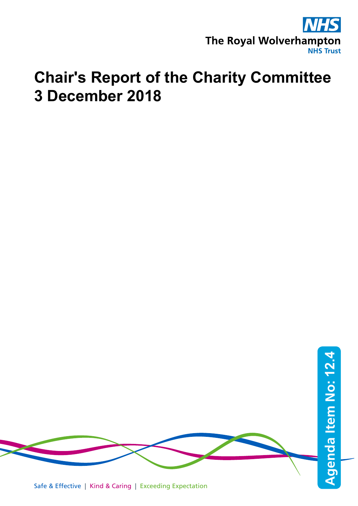

## **Chair's Report of the Charity Committee 3 December 2018**

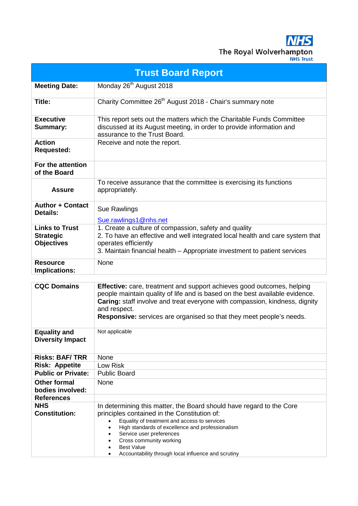**NHS** The Royal Wolverhampton

| <b>Trust Board Report</b>                                      |                                                                                                                                                                                                                                                                                                                                                                                                                 |  |  |  |  |  |
|----------------------------------------------------------------|-----------------------------------------------------------------------------------------------------------------------------------------------------------------------------------------------------------------------------------------------------------------------------------------------------------------------------------------------------------------------------------------------------------------|--|--|--|--|--|
| <b>Meeting Date:</b>                                           | Monday 26 <sup>th</sup> August 2018                                                                                                                                                                                                                                                                                                                                                                             |  |  |  |  |  |
| Title:                                                         | Charity Committee 26 <sup>th</sup> August 2018 - Chair's summary note                                                                                                                                                                                                                                                                                                                                           |  |  |  |  |  |
| <b>Executive</b><br>Summary:                                   | This report sets out the matters which the Charitable Funds Committee<br>discussed at its August meeting, in order to provide information and<br>assurance to the Trust Board.                                                                                                                                                                                                                                  |  |  |  |  |  |
| Action<br>Requested:                                           | Receive and note the report.                                                                                                                                                                                                                                                                                                                                                                                    |  |  |  |  |  |
| For the attention<br>of the Board                              |                                                                                                                                                                                                                                                                                                                                                                                                                 |  |  |  |  |  |
| <b>Assure</b>                                                  | To receive assurance that the committee is exercising its functions<br>appropriately.                                                                                                                                                                                                                                                                                                                           |  |  |  |  |  |
| <b>Author + Contact</b><br><b>Details:</b>                     | Sue Rawlings<br>Sue.rawlings1@nhs.net                                                                                                                                                                                                                                                                                                                                                                           |  |  |  |  |  |
| <b>Links to Trust</b><br><b>Strategic</b><br><b>Objectives</b> | 1. Create a culture of compassion, safety and quality<br>2. To have an effective and well integrated local health and care system that<br>operates efficiently<br>3. Maintain financial health – Appropriate investment to patient services                                                                                                                                                                     |  |  |  |  |  |
| <b>Resource</b><br><b>Implications:</b>                        | None                                                                                                                                                                                                                                                                                                                                                                                                            |  |  |  |  |  |
| <b>CQC Domains</b>                                             | <b>Effective:</b> care, treatment and support achieves good outcomes, helping<br>people maintain quality of life and is based on the best available evidence.<br>Caring: staff involve and treat everyone with compassion, kindness, dignity<br>and respect.<br><b>Responsive:</b> services are organised so that they meet people's needs.                                                                     |  |  |  |  |  |
| <b>Equality and</b><br><b>Diversity Impact</b>                 | Not applicable                                                                                                                                                                                                                                                                                                                                                                                                  |  |  |  |  |  |
| <b>Risks: BAF/ TRR</b>                                         | None                                                                                                                                                                                                                                                                                                                                                                                                            |  |  |  |  |  |
| <b>Risk: Appetite</b>                                          | Low Risk                                                                                                                                                                                                                                                                                                                                                                                                        |  |  |  |  |  |
| <b>Public or Private:</b>                                      | <b>Public Board</b>                                                                                                                                                                                                                                                                                                                                                                                             |  |  |  |  |  |
| <b>Other formal</b><br>bodies involved:                        | None                                                                                                                                                                                                                                                                                                                                                                                                            |  |  |  |  |  |
| References                                                     |                                                                                                                                                                                                                                                                                                                                                                                                                 |  |  |  |  |  |
| NHS<br><b>Constitution:</b>                                    | In determining this matter, the Board should have regard to the Core<br>principles contained in the Constitution of:<br>Equality of treatment and access to services<br>$\bullet$<br>High standards of excellence and professionalism<br>$\bullet$<br>Service user preferences<br>Cross community working<br>$\bullet$<br><b>Best Value</b><br>Accountability through local influence and scrutiny<br>$\bullet$ |  |  |  |  |  |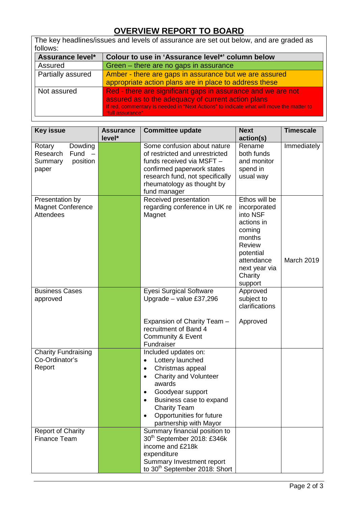## **OVERVIEW REPORT TO BOARD**

| The key headlines/issues and levels of assurance are set out below, and are graded as |                                                              |  |  |  |  |  |
|---------------------------------------------------------------------------------------|--------------------------------------------------------------|--|--|--|--|--|
| follows:                                                                              |                                                              |  |  |  |  |  |
| Assurance level*                                                                      | Colour to use in 'Assurance level*' column below             |  |  |  |  |  |
| Assured                                                                               | Green – there are no gaps in assurance                       |  |  |  |  |  |
| Partially assured                                                                     | Amber - there are gaps in assurance but we are assured       |  |  |  |  |  |
|                                                                                       | appropriate action plans are in place to address these       |  |  |  |  |  |
| Not assured                                                                           | Red - there are significant gaps in assurance and we are not |  |  |  |  |  |
|                                                                                       | assured as to the adequacy of current action plans           |  |  |  |  |  |

If red, commentary is needed in "Next Actions" to indicate what will move the matter to "full assurance" Key issue **Assurance level\* Committee update** Rext **action(s) Timescale**  Rotary Dowding Research Fund –<br>Summary position Summary paper Some confusion about nature of restricted and unrestricted funds received via MSFT – confirmed paperwork states research fund, not specifically rheumatology as thought by fund manager Rename both funds and monitor spend in usual way **Immediately** Received presentation Ethos will be

|                                                                 | research fund, not specifically<br>rheumatology as thought by<br>fund manager                                                                                                                                                                                                                       | usual way                                                                                                                                                      |            |
|-----------------------------------------------------------------|-----------------------------------------------------------------------------------------------------------------------------------------------------------------------------------------------------------------------------------------------------------------------------------------------------|----------------------------------------------------------------------------------------------------------------------------------------------------------------|------------|
| Presentation by<br><b>Magnet Conference</b><br><b>Attendees</b> | Received presentation<br>regarding conference in UK re<br>Magnet                                                                                                                                                                                                                                    | Ethos will be<br>incorporated<br>into NSF<br>actions in<br>coming<br>months<br><b>Review</b><br>potential<br>attendance<br>next year via<br>Charity<br>support | March 2019 |
| <b>Business Cases</b><br>approved                               | <b>Eyesi Surgical Software</b><br>Upgrade - value £37,296                                                                                                                                                                                                                                           | Approved<br>subject to<br>clarifications                                                                                                                       |            |
|                                                                 | Expansion of Charity Team -<br>recruitment of Band 4<br><b>Community &amp; Event</b><br>Fundraiser                                                                                                                                                                                                  | Approved                                                                                                                                                       |            |
| <b>Charity Fundraising</b><br>Co-Ordinator's<br>Report          | Included updates on:<br>Lottery launched<br>$\bullet$<br>Christmas appeal<br>$\bullet$<br><b>Charity and Volunteer</b><br>$\bullet$<br>awards<br>Goodyear support<br>$\bullet$<br>Business case to expand<br>$\bullet$<br><b>Charity Team</b><br>Opportunities for future<br>partnership with Mayor |                                                                                                                                                                |            |
| <b>Report of Charity</b><br><b>Finance Team</b>                 | Summary financial position to<br>30 <sup>th</sup> September 2018: £346k<br>income and £218k<br>expenditure<br>Summary Investment report<br>to 30 <sup>th</sup> September 2018: Short                                                                                                                |                                                                                                                                                                |            |